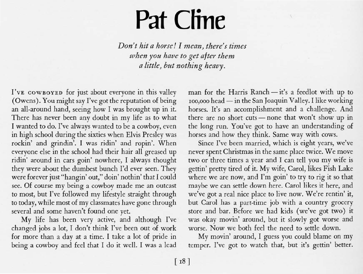## **Pat Cline**

Don't hit a horse! I mean, there's times when you have to get after them a little, but nothing heavy.

I've cowboyed for just about everyone in this valley (Owens). You might say I've got the reputation of being an all-around hand, seeing how I was brought up in it. There has never been any doubt in my life as to what I wanted to do. I've always wanted to be a cowboy, even in high school during the sixties when Elvis Presley was rockin' and grindin'. I was ridin' and ropin'. When everyone else in the school had their hair all greased up ridin' around in cars goin' nowhere, I always thought they were about the dumbest bunch I'd ever seen. They were forever just "hangin' out," doin' nothin' that I could see. Of course my being a cowboy made me an outcast to most, but I've followed my lifestyle straight through to today, while most of my classmates have gone through several and some haven't found one yet.

My life has been very active, and although I've changed jobs a lot, I don't think I've been out of work for more than a day at a time. I take a lot of pride in being a cowboy and feel that I do it well. I was a lead man for the Harris Ranch - it's a feedlot with up to 100,000 head — in the San Joaquin Valley. I like working horses. It's an accomplishment and a challenge. And there are no short cuts — none that won't show up in the long run. You've got to have an understanding of horses and how they think. Same way with cows.

Since I've been married, which is eight years, we've never spent Christmas in the same place twice. We move two or three times a year and I can tell you my wife is gettin' pretty tired of it. My wife, Carol, likes Fish Lake where we are now, and I'm goin' to try to rig it so that maybe we can settle down here. Carol likes it here, and we've got a real nice place to live now. We're rentin' it, but Carol has a part-time job with a country grocery store and bar. Before we had kids (we've got two) it was okay movin' around, but it slowly got worse and worse. Now we both feel the need to settle down.

My movin' around, I guess you could blame on my temper. I've got to watch that, but it's gettin' better.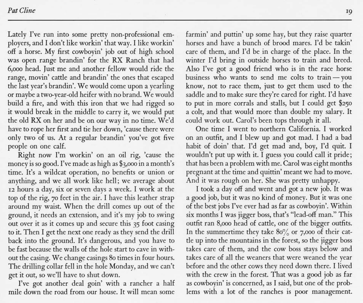Lately I've run into some pretty non-professional employers, and I don't like workin' that way. I like workin' off a horse. My first cowboyin' job out of high school was open range brandin' for the RX Ranch that had 6,000 head. Just me and another fellow would ride the range, movin' cattle and brandin' the ones that escaped the last year's brandin'. We would come upon a yearling or maybe a two-year-old heifer with no brand. We would build a fire, and with this iron that we had rigged so it would break in the middle to carry it, we would put the old RX on her and be on our way in no time. We'd have to rope her first and tie her down, 'cause there were only two of us. At a regular brandin' you've got five people on one calf.

Right now I'm workin' on an oil rig, 'cause the money is so good. I've made as high as \$3,000 in a month's time. It's a wildcat operation, no benefits or union or anything, and we all work like hell; we average about 12 hours a day, six or seven days a week. I work at the top of the rig, 70 feet in the air. I have this leather strap around my waist. When the drill comes up out of the ground, it needs an extension, and it's my job to swing out over it as it comes up and secure this 35 foot casing to it. Then I get the next one ready as they send the drill back into the ground. It's dangerous, and you have to be fast because the walls of the hole start to cave in without the casing. We change casings 80 times in four hours. The drilling collar fell in the hole Monday, and we can't get it out, so we'll have to shut down.

I've got another deal goin' with a rancher a half mile down the road from our house. It will mean some

farmin' and puttin' up some hay, but they raise quarter horses and have a bunch of brood mares. I'd be takin' care of them, and I'd be in charge of the place. In the winter I'd bring in outside horses to train and breed. Also I've got a good friend who is in the race horse business who wants to send me colts to train - you know, not to race them, just to get them used to the saddle and to make sure they're cared for right. I'd have to put in more corrals and stalls, but I could get \$250 a colt, and that would more than double my salary. It could work out. Carol's been tops through it all.

One time I went to northern California. I worked on an outfit, and I blew up and got mad. I had a bad habit of doin' that. I'd get mad and, boy, I'd quit. I wouldn't put up with it. I guess you could call it pride; that has been a problem with me. Carol was eight months pregnant at the time and quittin' meant we had to move. And it was rough on her. She was pretty unhappy.

I took a day off and went and got a new job. It was a good job, but it was no kind of money. But it was one of the best jobs I've ever had as far as cowboyin'. Within six months I was jigger boss, that's "lead-off man." This outfit ran 8,000 head of cattle, one of the bigger outfits. In the summertime they take  $80\%$  or 7,000 of their cattle up into the mountains in the forest, so the jigger boss takes care of them, and the cow boss stays below and takes care of all the weaners that were weaned the year before and the other cows they need down there. I lived with the crew in the forest. That was a good job as far as cowboyin' is concerned, as I said, but one of the problems with a lot of the ranches is poor management.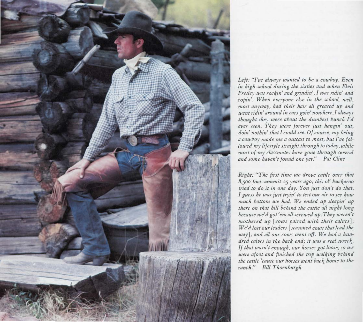

Left: "I've always wanted to be a cowboy. Even in high school during the sixties and when Elvis Presley was rockin' and grindin', I was ridin' and ropin'. When everyone else in the school, well, most anyway, had their hair all greased up and went ridin' around in cars goin' nowhere, I always thought they were about the dumbest bunch I'd ever seen. They were forever just hangin' out, doin' nothin' that I could see. Of course, my being a cowboy made me a outcast to most, but I've followed my lifestyle straight through to today, while most of my classmates have gone through several and some haven't found one yet." Pat Cline

Right: "The first time we drove cattle over that 8,500 foot summit 25 years ago, this ol' buckaroo tried to do it in one day. You just don't do that. I guess he was just tryin' to test our air to see how much bottom we had. We ended up sleepin' up there on that hill behind the cattle all night long because we'd got'em all screwed up. They weren't mothered up [cows paired with their calves]. We'd lost our leaders [seasoned cows that lead the way], and all our cows went off. We had a hundred calves in the back end; it was a real wreck. If that wasn't enough, our horses got loose, so we were afoot and finished the trip walking behind the cattle 'cause our horses went back home to the ranch." Bill Thornburgh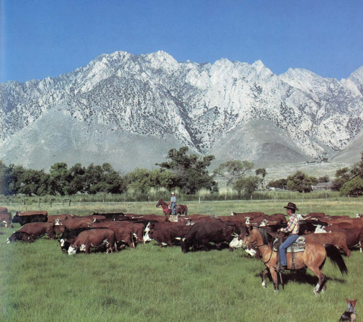